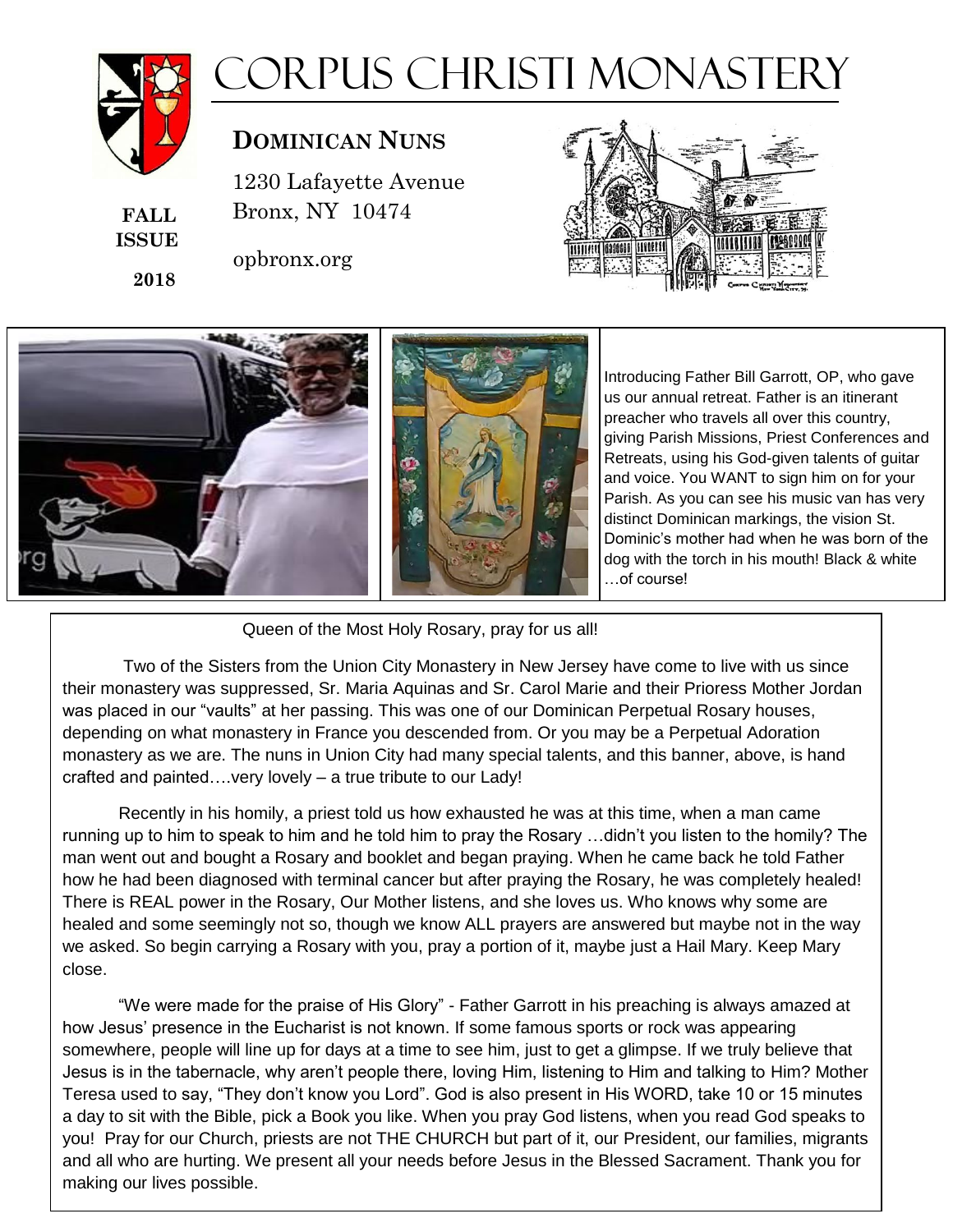

**FALL ISSUE**

 **2018**

# Corpus Christi Monastery

## $D$ **OMINICAN NUNS**

1230 Lafayette Avenue 1230 Lafayette Avenue Bronx, NY 10474 Bronx, NY 10474

opbronx.org





### Queen of the Most Holy Rosary, pray for us all!

Two of the Sisters from the Union City Monastery in New Jersey have come to live with us since their monastery was suppressed, Sr. Maria Aquinas and Sr. Carol Marie and their Prioress Mother Jordan was placed in our "vaults" at her passing. This was one of our Dominican Perpetual Rosary houses, depending on what monastery in France you descended from. Or you may be a Perpetual Adoration monastery as we are. The nuns in Union City had many special talents, and this banner, above, is hand crafted and painted….very lovely – a true tribute to our Lady!

Recently in his homily, a priest told us how exhausted he was at this time, when a man came running up to him to speak to him and he told him to pray the Rosary …didn't you listen to the homily? The man went out and bought a Rosary and booklet and began praying. When he came back he told Father how he had been diagnosed with terminal cancer but after praying the Rosary, he was completely healed! There is REAL power in the Rosary, Our Mother listens, and she loves us. Who knows why some are healed and some seemingly not so, though we know ALL prayers are answered but maybe not in the way we asked. So begin carrying a Rosary with you, pray a portion of it, maybe just a Hail Mary. Keep Mary close.

"We were made for the praise of His Glory" - Father Garrott in his preaching is always amazed at how Jesus' presence in the Eucharist is not known. If some famous sports or rock was appearing somewhere, people will line up for days at a time to see him, just to get a glimpse. If we truly believe that Jesus is in the tabernacle, why aren't people there, loving Him, listening to Him and talking to Him? Mother Teresa used to say, "They don't know you Lord". God is also present in His WORD, take 10 or 15 minutes a day to sit with the Bible, pick a Book you like. When you pray God listens, when you read God speaks to you! Pray for our Church, priests are not THE CHURCH but part of it, our President, our families, migrants and all who are hurting. We present all your needs before Jesus in the Blessed Sacrament. Thank you for making our lives possible.